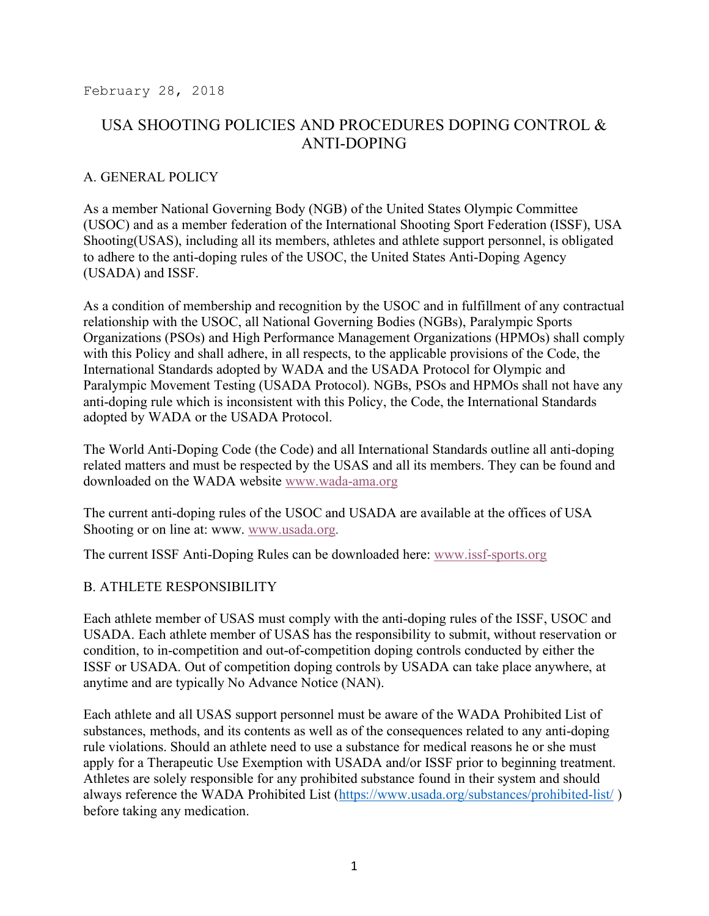February 28, 2018

# USA SHOOTING POLICIES AND PROCEDURES DOPING CONTROL & ANTI-DOPING

### A. GENERAL POLICY

As a member National Governing Body (NGB) of the United States Olympic Committee (USOC) and as a member federation of the International Shooting Sport Federation (ISSF), USA Shooting(USAS), including all its members, athletes and athlete support personnel, is obligated to adhere to the anti-doping rules of the USOC, the United States Anti-Doping Agency (USADA) and ISSF.

As a condition of membership and recognition by the USOC and in fulfillment of any contractual relationship with the USOC, all National Governing Bodies (NGBs), Paralympic Sports Organizations (PSOs) and High Performance Management Organizations (HPMOs) shall comply with this Policy and shall adhere, in all respects, to the applicable provisions of the Code, the International Standards adopted by WADA and the USADA Protocol for Olympic and Paralympic Movement Testing (USADA Protocol). NGBs, PSOs and HPMOs shall not have any anti-doping rule which is inconsistent with this Policy, the Code, the International Standards adopted by WADA or the USADA Protocol.

The World Anti-Doping Code (the Code) and all International Standards outline all anti-doping related matters and must be respected by the USAS and all its members. They can be found and downloaded on the WADA website www.wada-ama.org

The current anti-doping rules of the USOC and USADA are available at the offices of USA Shooting or on line at: www.www.usada.org.

The current ISSF Anti-Doping Rules can be downloaded here: www.issf-sports.org

#### B. ATHLETE RESPONSIBILITY

Each athlete member of USAS must comply with the anti-doping rules of the ISSF, USOC and USADA. Each athlete member of USAS has the responsibility to submit, without reservation or condition, to in-competition and out-of-competition doping controls conducted by either the ISSF or USADA. Out of competition doping controls by USADA can take place anywhere, at anytime and are typically No Advance Notice (NAN).

Each athlete and all USAS support personnel must be aware of the WADA Prohibited List of substances, methods, and its contents as well as of the consequences related to any anti-doping rule violations. Should an athlete need to use a substance for medical reasons he or she must apply for a Therapeutic Use Exemption with USADA and/or ISSF prior to beginning treatment. Athletes are solely responsible for any prohibited substance found in their system and should always reference the WADA Prohibited List (https://www.usada.org/substances/prohibited-list/ ) before taking any medication.